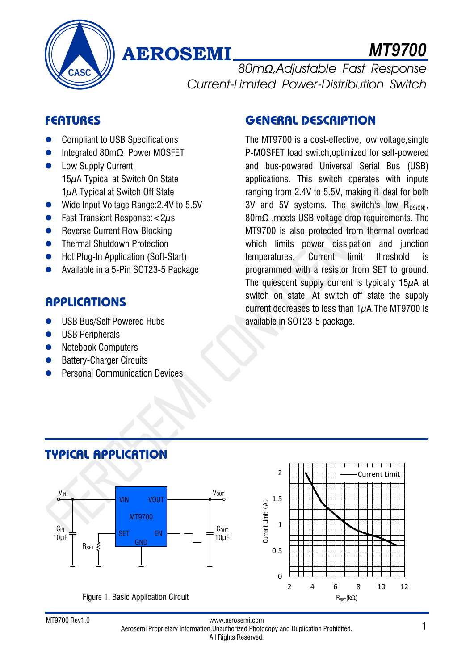

# **AEROSEMI**

*MT9700*

80m*Ω*,Adjustable Fast Response Current-Limited Power-Distribution Switch

## **FEATURES**

- Compliant to USB Specifications
- Integrated 80mΩ Power MOSFET
- **•** Low Supply Current 15μA Typical at Switch On State  $1\mu$ A Typical at Switch Off State
- Wide Input Voltage Range:2.4V to 5.5V
- **•** Fast Transient Response: $\lt 2\mu s$
- Reverse Current Flow Blocking
- **•** Thermal Shutdown Protection
- Hot Plug-In Application (Soft-Start)
- Available in a 5-Pin SOT23-5 Package

## **APPLICATIONS**

- USB Bus/Self Powered Hubs
- USB Peripherals
- Notebook Computers
- Battery-Charger Circuits
- Personal Communication Devices

**TYPICAL APPLICATION**

## **GENERAL DESCRIPTION**

The MT9700 is a cost-effective, low voltage,single P-MOSFET load switch,optimized for self-powered and bus-powered Universal Serial Bus (USB) applications. This switch operates with inputs ranging from 2.4V to 5.5V, making it ideal for both 3V and 5V systems. The switch's low  $R_{DS(ON)}$ , 80mΩ ,meets USB voltage drop requirements. The MT9700 is also protected from thermal overload which limits power dissipation and junction temperatures. Current limit threshold is programmed with a resistor from SET to ground. The quiescent supply current is typically  $15\mu$ A at switch on state. At switch off state the supply current decreases to less than  $1\mu$ A. The MT9700 is available in SOT23-5 package.



Figure 1. Basic Application Circuit



#### www.aerosemi.com www.aerosemi.com<br>Aerosemi Proprietary Information.Unauthorized Photocopy and Duplication Prohibited. 1 All Rights Reserved.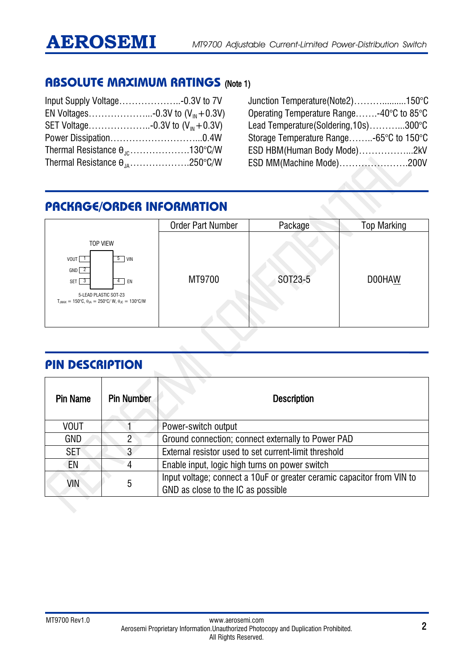## **ABSOLUTE MAXIMUM RATINGS** (Note 1)

| Thermal Resistance $\theta_{\text{nc}}$ 130°C/W |  |
|-------------------------------------------------|--|
| Thermal Resistance $\theta_{.14}$ 250°C/W       |  |

Junction Temperature(Note2)………..........150°C Operating Temperature Range…….-40°C to 85°C Lead Temperature(Soldering,10s)………...300°C Storage Temperature Range……..-65°C to 150°C ESD HBM(Human Body Mode)……………...2kV ESD MM(Machine Mode)………………….200V

## **PACKAGE/ORDER INFORMATION**

|                                                                                                                                                                                                                                              | <b>Order Part Number</b> | Package | <b>Top Marking</b> |
|----------------------------------------------------------------------------------------------------------------------------------------------------------------------------------------------------------------------------------------------|--------------------------|---------|--------------------|
| <b>TOP VIEW</b><br>5<br>VOUT<br><b>VIN</b><br>$GND$ $2$<br>SET<br>$\overline{\mathbf{3}}$<br>EN<br>$\overline{4}$<br>5-LEAD PLASTIC SOT-23<br>$T_{.IMAX} = 150^{\circ}C$ , $\theta_{.IA} = 250^{\circ}C/W$ , $\theta_{.IC} = 130^{\circ}C/W$ | MT9700                   | SOT23-5 | D00HAW             |

## **PIN DESCRIPTION**

| <b>Pin Name</b> | <b>Pin Number</b> | <b>Description</b>                                                                                           |  |
|-----------------|-------------------|--------------------------------------------------------------------------------------------------------------|--|
| <b>VOUT</b>     |                   | Power-switch output                                                                                          |  |
| GND             | $\overline{2}$    | Ground connection; connect externally to Power PAD                                                           |  |
| <b>SET</b>      | 3                 | External resistor used to set current-limit threshold                                                        |  |
| EN              | 4                 | Enable input, logic high turns on power switch                                                               |  |
| VIN             | 5                 | Input voltage; connect a 10uF or greater ceramic capacitor from VIN to<br>GND as close to the IC as possible |  |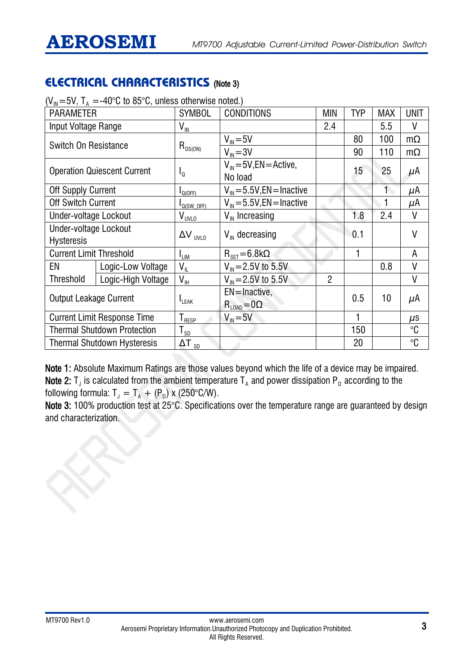## **ELECTRICAL CHARACTERISTICS** (Note 3)

| $(V_{\text{IN}}$ =5V, 1 $_{\text{A}}$ =-4U°C to 85°C, unless otherwise noted.) |                                    |                                                |                                        |                |     |            |             |
|--------------------------------------------------------------------------------|------------------------------------|------------------------------------------------|----------------------------------------|----------------|-----|------------|-------------|
| <b>PARAMETER</b>                                                               |                                    | <b>SYMBOL</b>                                  | <b>CONDITIONS</b>                      | MIN            | TYP | <b>MAX</b> | <b>UNIT</b> |
| Input Voltage Range                                                            |                                    | $\mathsf{V}_{\mathsf{IN}}$                     |                                        | 2.4            |     | 5.5        | V           |
| Switch On Resistance                                                           |                                    | $R_{DS(ON)}$                                   | $V_{\text{IN}} = 5V$                   |                | 80  | 100        | $m\Omega$   |
|                                                                                |                                    |                                                | $V_{IN} = 3V$                          |                | 90  | 110        | $m\Omega$   |
| <b>Operation Quiescent Current</b>                                             |                                    |                                                | $V_{IN} = 5V$ , EN = Active,           |                | 15  | 25         |             |
|                                                                                |                                    | $I_0$                                          | No load                                |                |     |            | $\mu$ A     |
| Off Supply Current                                                             |                                    | $I_{Q(OFF)}$                                   | $V_{\text{IN}} = 5.5V$ , EN = Inactive |                |     |            | μA          |
| <b>Off Switch Current</b>                                                      |                                    | $I_{Q(SW_OFF)}$                                | $V_{\text{IN}} = 5.5V$ , EN = Inactive |                |     |            | μΑ          |
| Under-voltage Lockout                                                          |                                    | $V_{\underline{\text{UVLO}}}$                  | $V_{\text{IN}}$ Increasing             |                | 1.8 | 2.4        | V           |
| Under-voltage Lockout                                                          |                                    |                                                | $V_{\text{IN}}$ decreasing             |                | 0.1 |            | V           |
| <b>Hysteresis</b>                                                              |                                    | $\Delta V$ <sub>UVLO</sub>                     |                                        |                |     |            |             |
| <b>Current Limit Threshold</b>                                                 |                                    | $I_{LIM}$                                      | $R_{\text{SFT}} = 6.8 \text{k}\Omega$  |                |     |            | A           |
| EN                                                                             | Logic-Low Voltage                  | $V_{\parallel}$                                | $V_{\text{IN}} = 2.5V$ to 5.5V         |                |     | 0.8        | V           |
| Threshold                                                                      | Logic-High Voltage                 | $\mathsf{V}_{\mathsf{IH}}$                     | $V_{\text{IN}} = 2.5V$ to 5.5V         | $\overline{2}$ |     |            | V           |
| <b>Output Leakage Current</b><br><b>I</b> LEAK                                 |                                    |                                                | $EN = Inactive$ ,                      |                | 0.5 | 10         |             |
|                                                                                |                                    |                                                | $R_{LOAD} = 0\Omega$                   |                |     |            | μA          |
|                                                                                | <b>Current Limit Response Time</b> | ${\mathsf T}_{\underline{\sf RESP}}$           | $V_{\text{IN}} = 5V$                   |                |     |            | $\mu$ s     |
|                                                                                | <b>Thermal Shutdown Protection</b> | ${\sf T}_{\sf \underline{s}\sf \underline{D}}$ |                                        |                | 150 |            | $^{\circ}C$ |
|                                                                                | <b>Thermal Shutdown Hysteresis</b> | $\Delta T_{SD}$                                |                                        |                | 20  |            | $^{\circ}C$ |

 $(V_{IN} = 5V, T_A = -40^{\circ}C$  to 85°C, unless otherwise noted.)

Note 1: Absolute Maximum Ratings are those values beyond which the life of a device may be impaired. Note 2:  $T_J$  is calculated from the ambient temperature  $T_A$  and power dissipation P<sub>D</sub> according to the following formula:  $T_J = T_A + (P_D) \times (250^{\circ}C/W)$ .

Note 3: 100% production test at 25°C. Specifications over the temperature range are guaranteed by design and characterization.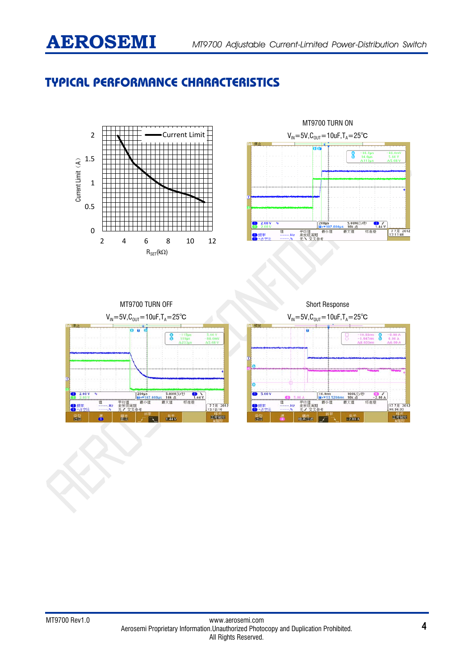## **TYPICAL PERFORMANCE CHARACTERISTICS**





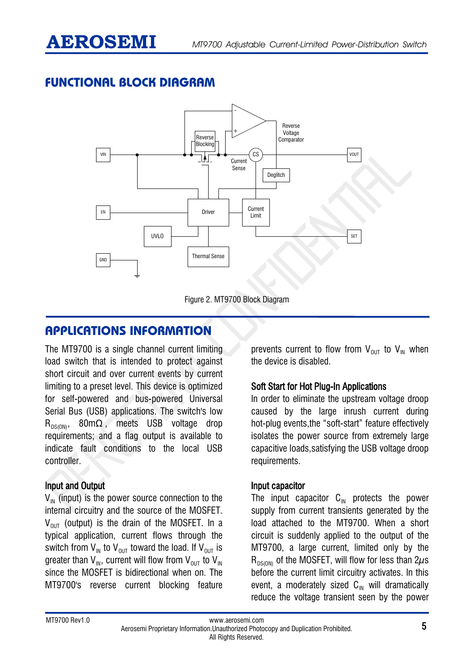## **FUNCTIONAL BLOCK DIAGRAM**



Figure 2. MT9700 Block Diagram

## **APPLICATIONS INFORMATION**

The MT9700 is a single channel current limiting load switch that is intended to protect against short circuit and over current events by current limiting to a preset level. This device is optimized for self-powered and bus-powered Universal Serial Bus (USB) applications. The switch's low  $R_{DS(OM)}$ , 80m $\Omega$ , meets USB voltage drop requirements; and a flag output is available to indicate fault conditions to the local USB controller.

#### Input and Output

 $V_{\text{IN}}$  (input) is the power source connection to the internal circuitry and the source of the MOSFET.  $V_{\text{out}}$  (output) is the drain of the MOSFET. In a typical application, current flows through the switch from  $V_{\text{IN}}$  to  $V_{\text{OUT}}$  toward the load. If  $V_{\text{OUT}}$  is greater than  $V_{IN}$ , current will flow from  $V_{OUT}$  to  $V_{IN}$ since the MOSFET is bidirectional when on. The MT9700's reverse current blocking feature

prevents current to flow from  $V_{OUT}$  to  $V_{IN}$  when the device is disabled.

#### Soft Start for Hot Plug-In Applications

In order to eliminate the upstream voltage droop caused by the large inrush current during hot-plug events,the "soft-start" feature effectively isolates the power source from extremely large capacitive loads,satisfying the USB voltage droop requirements.

#### Input capacitor

The input capacitor  $C_{\text{IN}}$  protects the power supply from current transients generated by the load attached to the MT9700. When a short circuit is suddenly applied to the output of the MT9700, a large current, limited only by the  $R_{DS(OM)}$  of the MOSFET, will flow for less than  $2\mu s$ before the current limit circuitry activates. In this event, a moderately sized  $C_{\text{IN}}$  will dramatically reduce the voltage transient seen by the power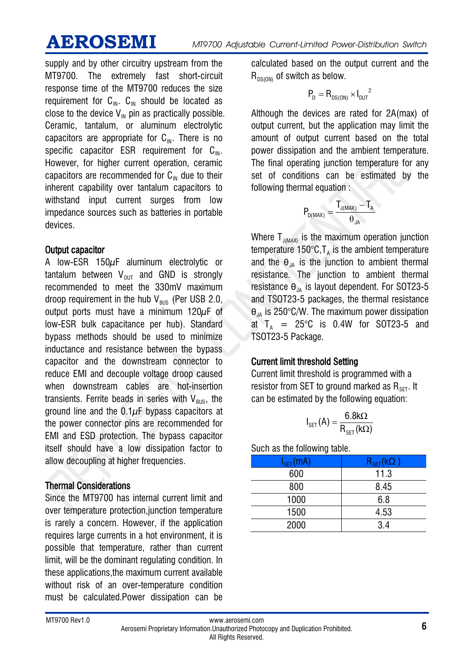supply and by other circuitry upstream from the MT9700. The extremely fast short-circuit response time of the MT9700 reduces the size requirement for  $C_{\text{IN}}$ .  $C_{\text{IN}}$  should be located as close to the device  $V_{\text{IN}}$  pin as practically possible. Ceramic, tantalum, or aluminum electrolytic capacitors are appropriate for  $C_{\text{IN}}$ . There is no specific capacitor ESR requirement for  $C_{\text{IN}}$ . However, for higher current operation, ceramic capacitors are recommended for  $C_{\text{N}}$  due to their inherent capability over tantalum capacitors to withstand input current surges from low impedance sources such as batteries in portable devices.

#### Output capacitor

A low-ESR 150μF aluminum electrolytic or tantalum between  $V_{\text{out}}$  and GND is strongly recommended to meet the 330mV maximum droop requirement in the hub  $V_{BUS}$  (Per USB 2.0, output ports must have a minimum 120μF of low-ESR bulk capacitance per hub). Standard bypass methods should be used to minimize inductance and resistance between the bypass capacitor and the downstream connector to reduce EMI and decouple voltage droop caused when downstream cables are hot-insertion transients. Ferrite beads in series with  $V_{\text{BUS}}$ , the ground line and the  $0.1\mu$ F bypass capacitors at the power connector pins are recommended for EMI and ESD protection. The bypass capacitor itself should have a low dissipation factor to allow decoupling at higher frequencies.

#### Thermal Considerations

Since the MT9700 has internal current limit and over temperature protection, junction temperature is rarely a concern. However, if the application requires large currents in a hot environment, it is possible that temperature, rather than current limit, will be the dominant regulating condition. In these applications,the maximum current available without risk of an over-temperature condition must be calculated.Power dissipation can be

calculated based on the output current and the  $R_{DS(ON)}$  of switch as below.

$$
P_D=R_{DS(0N)}\times I_{0UT}^2
$$

Although the devices are rated for 2A(max) of output current, but the application may limit the amount of output current based on the total power dissipation and the ambient temperature. The final operating junction temperature for any set of conditions can be estimated by the following thermal equation :

$$
P_{\text{D(MAX)}}=\frac{T_{\text{J(MAX)}}-T_{\text{A}}}{\theta_{\text{JA}}}
$$

Where  $T_{J(MAX)}$  is the maximum operation junction temperature 150 $\degree$ C, T<sub>A</sub> is the ambient temperature and the  $\theta_{\text{IA}}$  is the junction to ambient thermal resistance. The junction to ambient thermal resistance  $\theta_{JA}$  is layout dependent. For SOT23-5 and TSOT23-5 packages, the thermal resistance  $\theta_{JA}$  is 250°C/W. The maximum power dissipation at  $T_A$  = 25°C is 0.4W for SOT23-5 and TSOT23-5 Package.

#### Current limit threshold Setting

Current limit threshold is programmed with a resistor from SET to ground marked as  $R_{\text{SFT}}$ . It can be estimated by the following equation:

$$
I_{\text{SET}}(A) = \frac{6.8k\Omega}{R_{\text{SET}}(k\Omega)}
$$

Such as the following table.

| $I_{\texttt{SET}}(\texttt{mA})$ | $\mathsf{R}_{\mathsf{SET}}$ (k $\mathsf{\Omega}^+$ |
|---------------------------------|----------------------------------------------------|
| 600                             | 11.3                                               |
| 800                             | 8.45                                               |
| 1000                            | 6.8                                                |
| 1500                            | 4.53                                               |
| 2000                            | 3.4                                                |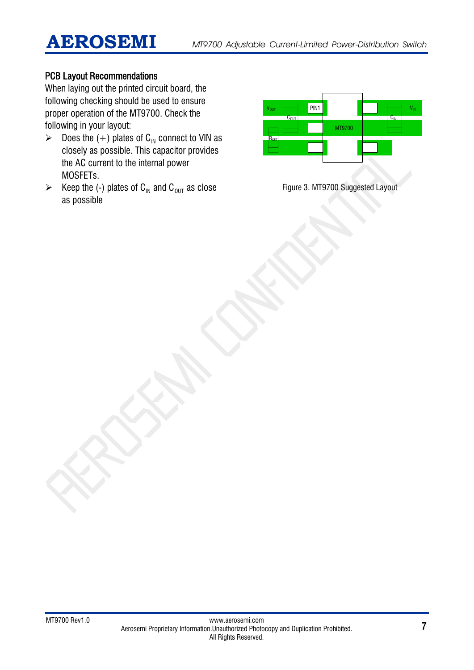### PCB Layout Recommendations

When laying out the printed circuit board, the following checking should be used to ensure proper operation of the MT9700. Check the following in your layout:

- $\triangleright$  Does the (+) plates of C<sub>IN</sub> connect to VIN as closely as possible. This capacitor provides the AC current to the internal power MOSFETs.
- Exerchefore (-) plates of C<sub>IN</sub> and C<sub>OUT</sub> as close as possible



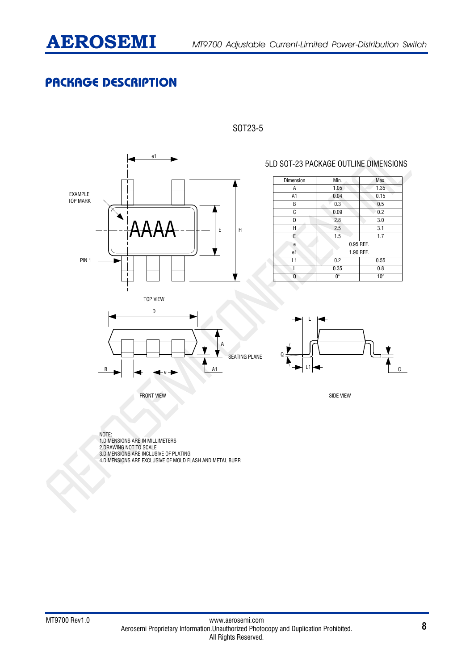

## **PACKAGE DESCRIPTION**





#### 5LD SOT-23 PACKAGE OUTLINE DIMENSIONS

| Dimension      | Min.                        | Max. |  |
|----------------|-----------------------------|------|--|
| Α              | 1.35<br>1.05                |      |  |
| A1             | 0.04<br>0.15                |      |  |
| B              | 0.3                         | 0.5  |  |
| C              | 0.09                        | 0.2  |  |
| D              | 2.8                         | 3.0  |  |
| H              | 2.5                         | 3.1  |  |
| E              | 1.5                         | 1.7  |  |
| е              | 0.95 REF.                   |      |  |
| e <sub>1</sub> | 1.90 REF.                   |      |  |
| L1             | 0.2<br>0.55                 |      |  |
|                | 0.35                        | 0.8  |  |
| Q              | $0^{\circ}$<br>$10^{\circ}$ |      |  |

L

 $\mathbf{L}$ 

 $\Omega$ 



FRONT VIEW SIDE VIEW SIDE VIEW SIDE VIEW SIDE VIEW SIDE VIEW SIDE VIEW SIDE VIEW SIDE VIEW SIDE VIEW SIDE VIEW

NOTE: 1.DIMENSIONS ARE IN MILLIMETERS 2.DRAWING NOT TO SCALE

3.DIMENSIONS ARE INCLUSIVE OF PLATING 4.DIMENSIONS ARE EXCLUSIVE OF MOLD FLASH AND METAL BURR C